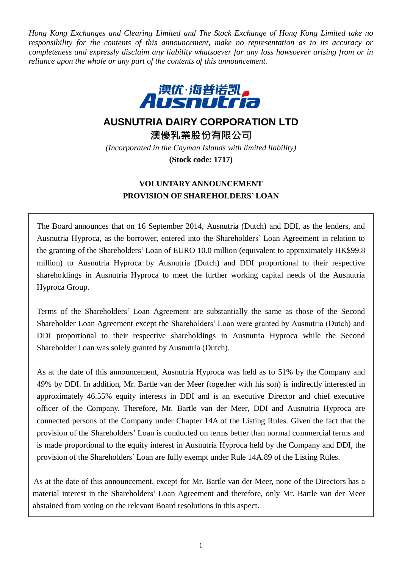*Hong Kong Exchanges and Clearing Limited and The Stock Exchange of Hong Kong Limited take no responsibility for the contents of this announcement, make no representation as to its accuracy or completeness and expressly disclaim any liability whatsoever for any loss howsoever arising from or in reliance upon the whole or any part of the contents of this announcement.*



# **AUSNUTRIA DAIRY CORPORATION LTD**

**澳優乳業股份有限公司**

*(Incorporated in the Cayman Islands with limited liability)* **(Stock code: 1717)**

## **VOLUNTARY ANNOUNCEMENT PROVISION OF SHAREHOLDERS' LOAN**

The Board announces that on 16 September 2014, Ausnutria (Dutch) and DDI, as the lenders, and Ausnutria Hyproca, as the borrower, entered into the Shareholders' Loan Agreement in relation to the granting of the Shareholders' Loan of EURO 10.0 million (equivalent to approximately HK\$99.8 million) to Ausnutria Hyproca by Ausnutria (Dutch) and DDI proportional to their respective shareholdings in Ausnutria Hyproca to meet the further working capital needs of the Ausnutria Hyproca Group.

Terms of the Shareholders' Loan Agreement are substantially the same as those of the Second Shareholder Loan Agreement except the Shareholders' Loan were granted by Ausnutria (Dutch) and DDI proportional to their respective shareholdings in Ausnutria Hyproca while the Second Shareholder Loan was solely granted by Ausnutria (Dutch).

As at the date of this announcement, Ausnutria Hyproca was held as to 51% by the Company and 49% by DDI. In addition, Mr. Bartle van der Meer (together with his son) is indirectly interested in approximately 46.55% equity interests in DDI and is an executive Director and chief executive officer of the Company. Therefore, Mr. Bartle van der Meer, DDI and Ausnutria Hyproca are connected persons of the Company under Chapter 14A of the Listing Rules. Given the fact that the provision of the Shareholders' Loan is conducted on terms better than normal commercial terms and is made proportional to the equity interest in Ausnutria Hyproca held by the Company and DDI, the provision of the Shareholders' Loan are fully exempt under Rule 14A.89 of the Listing Rules.

As at the date of this announcement, except for Mr. Bartle van der Meer, none of the Directors has a material interest in the Shareholders' Loan Agreement and therefore, only Mr. Bartle van der Meer abstained from voting on the relevant Board resolutions in this aspect.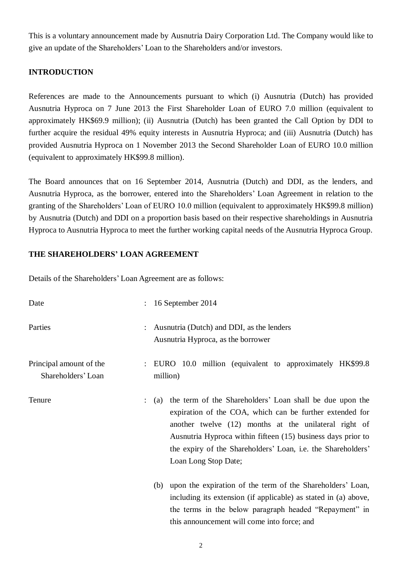This is a voluntary announcement made by Ausnutria Dairy Corporation Ltd. The Company would like to give an update of the Shareholders' Loan to the Shareholders and/or investors.

## **INTRODUCTION**

References are made to the Announcements pursuant to which (i) Ausnutria (Dutch) has provided Ausnutria Hyproca on 7 June 2013 the First Shareholder Loan of EURO 7.0 million (equivalent to approximately HK\$69.9 million); (ii) Ausnutria (Dutch) has been granted the Call Option by DDI to further acquire the residual 49% equity interests in Ausnutria Hyproca; and (iii) Ausnutria (Dutch) has provided Ausnutria Hyproca on 1 November 2013 the Second Shareholder Loan of EURO 10.0 million (equivalent to approximately HK\$99.8 million).

The Board announces that on 16 September 2014, Ausnutria (Dutch) and DDI, as the lenders, and Ausnutria Hyproca, as the borrower, entered into the Shareholders' Loan Agreement in relation to the granting of the Shareholders' Loan of EURO 10.0 million (equivalent to approximately HK\$99.8 million) by Ausnutria (Dutch) and DDI on a proportion basis based on their respective shareholdings in Ausnutria Hyproca to Ausnutria Hyproca to meet the further working capital needs of the Ausnutria Hyproca Group.

## **THE SHAREHOLDERS' LOAN AGREEMENT**

Details of the Shareholders' Loan Agreement are as follows:

| Date                                          | 16 September 2014<br>$\ddot{\phantom{a}}$                                                                                                                                                                                                                                                                                                                            |
|-----------------------------------------------|----------------------------------------------------------------------------------------------------------------------------------------------------------------------------------------------------------------------------------------------------------------------------------------------------------------------------------------------------------------------|
| Parties                                       | : Ausnutria (Dutch) and DDI, as the lenders<br>Ausnutria Hyproca, as the borrower                                                                                                                                                                                                                                                                                    |
| Principal amount of the<br>Shareholders' Loan | : EURO 10.0 million (equivalent to approximately HK\$99.8)<br>million)                                                                                                                                                                                                                                                                                               |
| Tenure                                        | the term of the Shareholders' Loan shall be due upon the<br>(a)<br>$\ddot{\phantom{a}}$<br>expiration of the COA, which can be further extended for<br>another twelve (12) months at the unilateral right of<br>Ausnutria Hyproca within fifteen (15) business days prior to<br>the expiry of the Shareholders' Loan, i.e. the Shareholders'<br>Loan Long Stop Date; |
|                                               | upon the expiration of the term of the Shareholders' Loan,<br>(b)<br>including its extension (if applicable) as stated in (a) above,<br>the terms in the below paragraph headed "Repayment" in<br>this announcement will come into force; and                                                                                                                        |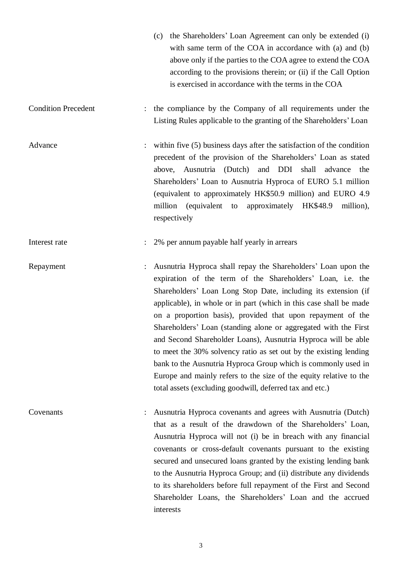- (c) the Shareholders' Loan Agreement can only be extended (i) with same term of the COA in accordance with (a) and (b) above only if the parties to the COA agree to extend the COA according to the provisions therein; or (ii) if the Call Option is exercised in accordance with the terms in the COA Condition Precedent : the compliance by the Company of all requirements under the Listing Rules applicable to the granting of the Shareholders' Loan Advance : within five (5) business days after the satisfaction of the condition precedent of the provision of the Shareholders' Loan as stated above, Ausnutria (Dutch) and DDI shall advance the Shareholders' Loan to Ausnutria Hyproca of EURO 5.1 million (equivalent to approximately HK\$50.9 million) and EURO 4.9 million (equivalent to approximately HK\$48.9 million), respectively Interest rate : 2% per annum payable half yearly in arrears Repayment : Ausnutria Hyproca shall repay the Shareholders' Loan upon the expiration of the term of the Shareholders' Loan, i.e. the Shareholders' Loan Long Stop Date, including its extension (if applicable), in whole or in part (which in this case shall be made on a proportion basis), provided that upon repayment of the Shareholders' Loan (standing alone or aggregated with the First and Second Shareholder Loans), Ausnutria Hyproca will be able
- 

Covenants : Ausnutria Hyproca covenants and agrees with Ausnutria (Dutch) that as a result of the drawdown of the Shareholders' Loan, Ausnutria Hyproca will not (i) be in breach with any financial covenants or cross-default covenants pursuant to the existing secured and unsecured loans granted by the existing lending bank to the Ausnutria Hyproca Group; and (ii) distribute any dividends to its shareholders before full repayment of the First and Second Shareholder Loans, the Shareholders' Loan and the accrued interests

total assets (excluding goodwill, deferred tax and etc.)

to meet the 30% solvency ratio as set out by the existing lending bank to the Ausnutria Hyproca Group which is commonly used in Europe and mainly refers to the size of the equity relative to the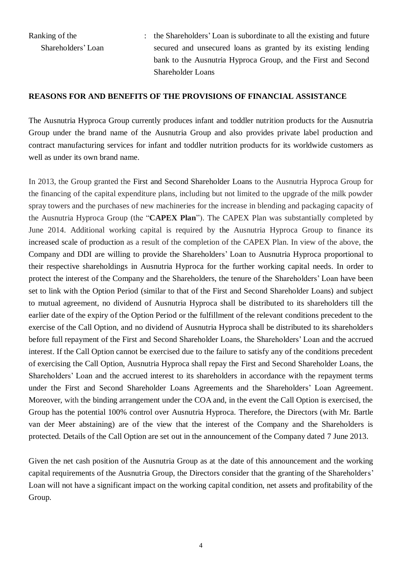Ranking of the Shareholders' Loan : the Shareholders' Loan is subordinate to all the existing and future secured and unsecured loans as granted by its existing lending bank to the Ausnutria Hyproca Group, and the First and Second Shareholder Loans

#### **REASONS FOR AND BENEFITS OF THE PROVISIONS OF FINANCIAL ASSISTANCE**

The Ausnutria Hyproca Group currently produces infant and toddler nutrition products for the Ausnutria Group under the brand name of the Ausnutria Group and also provides private label production and contract manufacturing services for infant and toddler nutrition products for its worldwide customers as well as under its own brand name.

In 2013, the Group granted the First and Second Shareholder Loans to the Ausnutria Hyproca Group for the financing of the capital expenditure plans, including but not limited to the upgrade of the milk powder spray towers and the purchases of new machineries for the increase in blending and packaging capacity of the Ausnutria Hyproca Group (the "**CAPEX Plan**"). The CAPEX Plan was substantially completed by June 2014. Additional working capital is required by the Ausnutria Hyproca Group to finance its increased scale of production as a result of the completion of the CAPEX Plan. In view of the above, the Company and DDI are willing to provide the Shareholders' Loan to Ausnutria Hyproca proportional to their respective shareholdings in Ausnutria Hyproca for the further working capital needs. In order to protect the interest of the Company and the Shareholders, the tenure of the Shareholders' Loan have been set to link with the Option Period (similar to that of the First and Second Shareholder Loans) and subject to mutual agreement, no dividend of Ausnutria Hyproca shall be distributed to its shareholders till the earlier date of the expiry of the Option Period or the fulfillment of the relevant conditions precedent to the exercise of the Call Option, and no dividend of Ausnutria Hyproca shall be distributed to its shareholders before full repayment of the First and Second Shareholder Loans, the Shareholders' Loan and the accrued interest. If the Call Option cannot be exercised due to the failure to satisfy any of the conditions precedent of exercising the Call Option, Ausnutria Hyproca shall repay the First and Second Shareholder Loans, the Shareholders' Loan and the accrued interest to its shareholders in accordance with the repayment terms under the First and Second Shareholder Loans Agreements and the Shareholders' Loan Agreement. Moreover, with the binding arrangement under the COA and, in the event the Call Option is exercised, the Group has the potential 100% control over Ausnutria Hyproca. Therefore, the Directors (with Mr. Bartle van der Meer abstaining) are of the view that the interest of the Company and the Shareholders is protected. Details of the Call Option are set out in the announcement of the Company dated 7 June 2013.

Given the net cash position of the Ausnutria Group as at the date of this announcement and the working capital requirements of the Ausnutria Group, the Directors consider that the granting of the Shareholders' Loan will not have a significant impact on the working capital condition, net assets and profitability of the Group.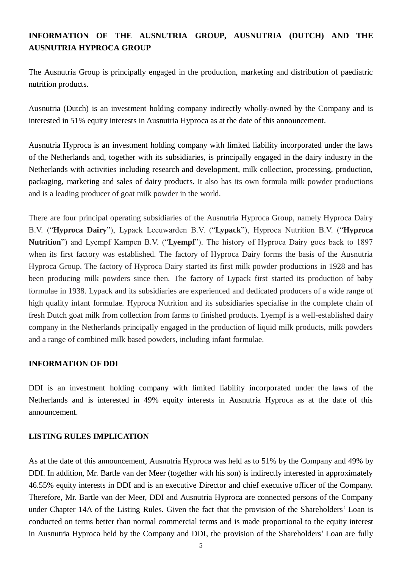## **INFORMATION OF THE AUSNUTRIA GROUP, AUSNUTRIA (DUTCH) AND THE AUSNUTRIA HYPROCA GROUP**

The Ausnutria Group is principally engaged in the production, marketing and distribution of paediatric nutrition products.

Ausnutria (Dutch) is an investment holding company indirectly wholly-owned by the Company and is interested in 51% equity interests in Ausnutria Hyproca as at the date of this announcement.

Ausnutria Hyproca is an investment holding company with limited liability incorporated under the laws of the Netherlands and, together with its subsidiaries, is principally engaged in the dairy industry in the Netherlands with activities including research and development, milk collection, processing, production, packaging, marketing and sales of dairy products. It also has its own formula milk powder productions and is a leading producer of goat milk powder in the world.

There are four principal operating subsidiaries of the Ausnutria Hyproca Group, namely Hyproca Dairy B.V. ("**Hyproca Dairy**"), Lypack Leeuwarden B.V. ("**Lypack**"), Hyproca Nutrition B.V. ("**Hyproca Nutrition**") and Lyempf Kampen B.V. ("**Lyempf**"). The history of Hyproca Dairy goes back to 1897 when its first factory was established. The factory of Hyproca Dairy forms the basis of the Ausnutria Hyproca Group. The factory of Hyproca Dairy started its first milk powder productions in 1928 and has been producing milk powders since then. The factory of Lypack first started its production of baby formulae in 1938. Lypack and its subsidiaries are experienced and dedicated producers of a wide range of high quality infant formulae. Hyproca Nutrition and its subsidiaries specialise in the complete chain of fresh Dutch goat milk from collection from farms to finished products. Lyempf is a well-established dairy company in the Netherlands principally engaged in the production of liquid milk products, milk powders and a range of combined milk based powders, including infant formulae.

#### **INFORMATION OF DDI**

DDI is an investment holding company with limited liability incorporated under the laws of the Netherlands and is interested in 49% equity interests in Ausnutria Hyproca as at the date of this announcement.

#### **LISTING RULES IMPLICATION**

As at the date of this announcement, Ausnutria Hyproca was held as to 51% by the Company and 49% by DDI. In addition, Mr. Bartle van der Meer (together with his son) is indirectly interested in approximately 46.55% equity interests in DDI and is an executive Director and chief executive officer of the Company. Therefore, Mr. Bartle van der Meer, DDI and Ausnutria Hyproca are connected persons of the Company under Chapter 14A of the Listing Rules. Given the fact that the provision of the Shareholders' Loan is conducted on terms better than normal commercial terms and is made proportional to the equity interest in Ausnutria Hyproca held by the Company and DDI, the provision of the Shareholders' Loan are fully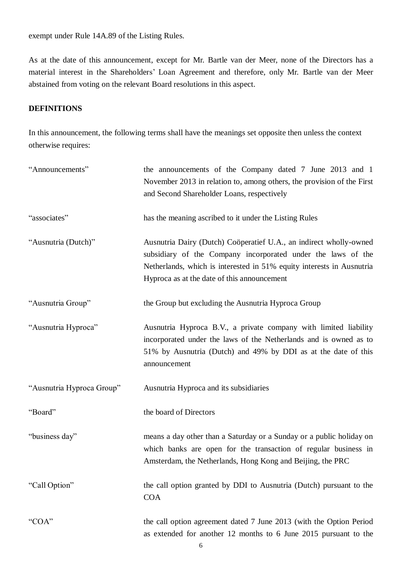exempt under Rule 14A.89 of the Listing Rules.

As at the date of this announcement, except for Mr. Bartle van der Meer, none of the Directors has a material interest in the Shareholders' Loan Agreement and therefore, only Mr. Bartle van der Meer abstained from voting on the relevant Board resolutions in this aspect.

### **DEFINITIONS**

In this announcement, the following terms shall have the meanings set opposite then unless the context otherwise requires:

| "Announcements"           | the announcements of the Company dated 7 June 2013 and 1<br>November 2013 in relation to, among others, the provision of the First<br>and Second Shareholder Loans, respectively                                                                           |
|---------------------------|------------------------------------------------------------------------------------------------------------------------------------------------------------------------------------------------------------------------------------------------------------|
| "associates"              | has the meaning ascribed to it under the Listing Rules                                                                                                                                                                                                     |
| "Ausnutria (Dutch)"       | Ausnutria Dairy (Dutch) Coöperatief U.A., an indirect wholly-owned<br>subsidiary of the Company incorporated under the laws of the<br>Netherlands, which is interested in 51% equity interests in Ausnutria<br>Hyproca as at the date of this announcement |
| "Ausnutria Group"         | the Group but excluding the Ausnutria Hyproca Group                                                                                                                                                                                                        |
| "Ausnutria Hyproca"       | Ausnutria Hyproca B.V., a private company with limited liability<br>incorporated under the laws of the Netherlands and is owned as to<br>51% by Ausnutria (Dutch) and 49% by DDI as at the date of this<br>announcement                                    |
| "Ausnutria Hyproca Group" | Ausnutria Hyproca and its subsidiaries                                                                                                                                                                                                                     |
| "Board"                   | the board of Directors                                                                                                                                                                                                                                     |
| "business day"            | means a day other than a Saturday or a Sunday or a public holiday on<br>which banks are open for the transaction of regular business in<br>Amsterdam, the Netherlands, Hong Kong and Beijing, the PRC                                                      |
| "Call Option"             | the call option granted by DDI to Ausnutria (Dutch) pursuant to the<br><b>COA</b>                                                                                                                                                                          |
| "COA"                     | the call option agreement dated 7 June 2013 (with the Option Period<br>as extended for another 12 months to 6 June 2015 pursuant to the                                                                                                                    |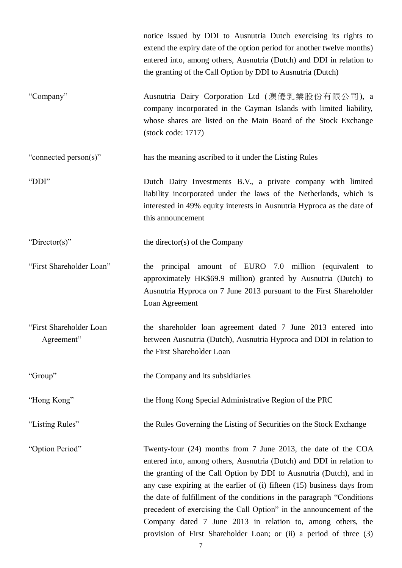notice issued by DDI to Ausnutria Dutch exercising its rights to extend the expiry date of the option period for another twelve months) entered into, among others, Ausnutria (Dutch) and DDI in relation to the granting of the Call Option by DDI to Ausnutria (Dutch) "Company" Ausnutria Dairy Corporation Ltd (澳優乳業股份有限公司), a company incorporated in the Cayman Islands with limited liability, whose shares are listed on the Main Board of the Stock Exchange (stock code: 1717) "connected person(s)" has the meaning ascribed to it under the Listing Rules "DDI" Dutch Dairy Investments B.V., a private company with limited liability incorporated under the laws of the Netherlands, which is interested in 49% equity interests in Ausnutria Hyproca as the date of this announcement "Director(s)" the director(s) of the Company "First Shareholder Loan" the principal amount of EURO 7.0 million (equivalent to approximately HK\$69.9 million) granted by Ausnutria (Dutch) to Ausnutria Hyproca on 7 June 2013 pursuant to the First Shareholder Loan Agreement "First Shareholder Loan Agreement" the shareholder loan agreement dated 7 June 2013 entered into between Ausnutria (Dutch), Ausnutria Hyproca and DDI in relation to the First Shareholder Loan "Group" the Company and its subsidiaries "Hong Kong" the Hong Kong Special Administrative Region of the PRC "Listing Rules" the Rules Governing the Listing of Securities on the Stock Exchange "Option Period" Twenty-four (24) months from 7 June 2013, the date of the COA entered into, among others, Ausnutria (Dutch) and DDI in relation to the granting of the Call Option by DDI to Ausnutria (Dutch), and in any case expiring at the earlier of (i) fifteen (15) business days from the date of fulfillment of the conditions in the paragraph "Conditions precedent of exercising the Call Option" in the announcement of the Company dated 7 June 2013 in relation to, among others, the provision of First Shareholder Loan; or (ii) a period of three (3)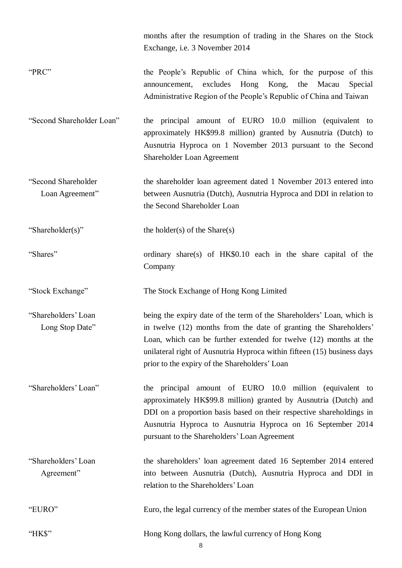months after the resumption of trading in the Shares on the Stock Exchange, i.e. 3 November 2014

- "PRC" the People's Republic of China which, for the purpose of this announcement, excludes Hong Kong, the Macau Special Administrative Region of the People's Republic of China and Taiwan
- "Second Shareholder Loan" the principal amount of EURO 10.0 million (equivalent to approximately HK\$99.8 million) granted by Ausnutria (Dutch) to Ausnutria Hyproca on 1 November 2013 pursuant to the Second Shareholder Loan Agreement
- "Second Shareholder Loan Agreement" the shareholder loan agreement dated 1 November 2013 entered into between Ausnutria (Dutch), Ausnutria Hyproca and DDI in relation to the Second Shareholder Loan

"Shareholder(s)" the holder(s) of the Share(s)

"Shares" ordinary share(s) of HK\$0.10 each in the share capital of the Company

"Stock Exchange" The Stock Exchange of Hong Kong Limited

"Shareholders' Loan Long Stop Date" being the expiry date of the term of the Shareholders' Loan, which is in twelve (12) months from the date of granting the Shareholders' Loan, which can be further extended for twelve (12) months at the unilateral right of Ausnutria Hyproca within fifteen (15) business days prior to the expiry of the Shareholders' Loan

"Shareholders' Loan" the principal amount of EURO 10.0 million (equivalent to approximately HK\$99.8 million) granted by Ausnutria (Dutch) and DDI on a proportion basis based on their respective shareholdings in Ausnutria Hyproca to Ausnutria Hyproca on 16 September 2014 pursuant to the Shareholders' Loan Agreement

"Shareholders' Loan Agreement" the shareholders' loan agreement dated 16 September 2014 entered into between Ausnutria (Dutch), Ausnutria Hyproca and DDI in relation to the Shareholders' Loan

"EURO" Euro, the legal currency of the member states of the European Union

"HK\$" Hong Kong dollars, the lawful currency of Hong Kong